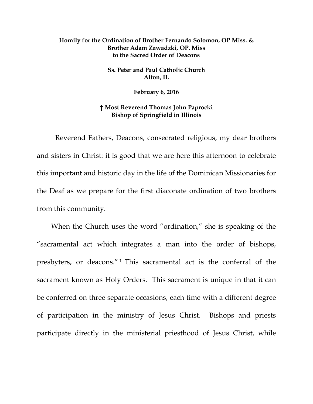## **Homily for the Ordination of Brother Fernando Solomon, OP Miss. & Brother Adam Zawadzki, OP. Miss to the Sacred Order of Deacons**

**Ss. Peter and Paul Catholic Church Alton, IL** 

**February 6, 2016** 

## **† Most Reverend Thomas John Paprocki Bishop of Springfield in Illinois**

 Reverend Fathers, Deacons, consecrated religious, my dear brothers and sisters in Christ: it is good that we are here this afternoon to celebrate this important and historic day in the life of the Dominican Missionaries for the Deaf as we prepare for the first diaconate ordination of two brothers from this community.

When the Church uses the word "ordination," she is speaking of the "sacramental act which integrates a man into the order of bishops, presbyters, or deacons." 1 This sacramental act is the conferral of the sacrament known as Holy Orders. This sacrament is unique in that it can be conferred on three separate occasions, each time with a different degree of participation in the ministry of Jesus Christ. Bishops and priests participate directly in the ministerial priesthood of Jesus Christ, while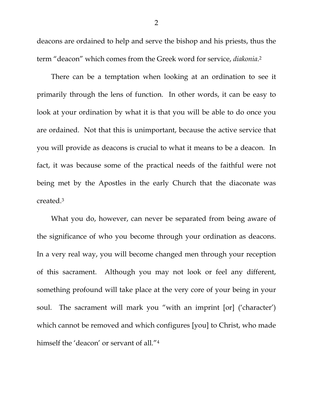deacons are ordained to help and serve the bishop and his priests, thus the term "deacon" which comes from the Greek word for service, *diakonia*.2

There can be a temptation when looking at an ordination to see it primarily through the lens of function. In other words, it can be easy to look at your ordination by what it is that you will be able to do once you are ordained. Not that this is unimportant, because the active service that you will provide as deacons is crucial to what it means to be a deacon. In fact, it was because some of the practical needs of the faithful were not being met by the Apostles in the early Church that the diaconate was created.3

What you do, however, can never be separated from being aware of the significance of who you become through your ordination as deacons. In a very real way, you will become changed men through your reception of this sacrament. Although you may not look or feel any different, something profound will take place at the very core of your being in your soul. The sacrament will mark you "with an imprint [or] ('character') which cannot be removed and which configures [you] to Christ, who made himself the 'deacon' or servant of all."<sup>4</sup>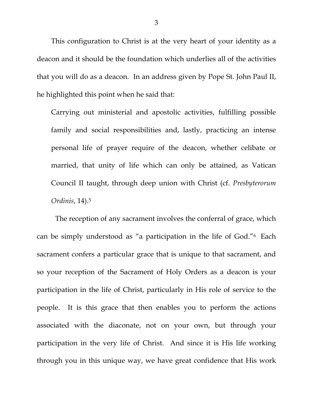This configuration to Christ is at the very heart of your identity as a deacon and it should be the foundation which underlies all of the activities that you will do as a deacon. In an address given by Pope St. John Paul II, he highlighted this point when he said that:

Carrying out ministerial and apostolic activities, fulfilling possible family and social responsibilities and, lastly, practicing an intense personal life of prayer require of the deacon, whether celibate or married, that unity of life which can only be attained, as Vatican Council II taught, through deep union with Christ (cf. *Presbyterorum Ordinis*, 14).5

 The reception of any sacrament involves the conferral of grace, which can be simply understood as "a participation in the life of God."6 Each sacrament confers a particular grace that is unique to that sacrament, and so your reception of the Sacrament of Holy Orders as a deacon is your participation in the life of Christ, particularly in His role of service to the people. It is this grace that then enables you to perform the actions associated with the diaconate, not on your own, but through your participation in the very life of Christ. And since it is His life working through you in this unique way, we have great confidence that His work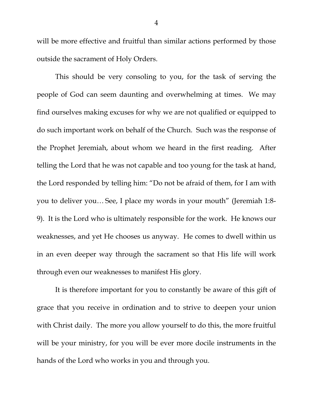will be more effective and fruitful than similar actions performed by those outside the sacrament of Holy Orders.

 This should be very consoling to you, for the task of serving the people of God can seem daunting and overwhelming at times. We may find ourselves making excuses for why we are not qualified or equipped to do such important work on behalf of the Church. Such was the response of the Prophet Jeremiah, about whom we heard in the first reading. After telling the Lord that he was not capable and too young for the task at hand, the Lord responded by telling him: "Do not be afraid of them, for I am with you to deliver you… See, I place my words in your mouth" (Jeremiah 1:8- 9). It is the Lord who is ultimately responsible for the work. He knows our weaknesses, and yet He chooses us anyway. He comes to dwell within us in an even deeper way through the sacrament so that His life will work through even our weaknesses to manifest His glory.

 It is therefore important for you to constantly be aware of this gift of grace that you receive in ordination and to strive to deepen your union with Christ daily. The more you allow yourself to do this, the more fruitful will be your ministry, for you will be ever more docile instruments in the hands of the Lord who works in you and through you.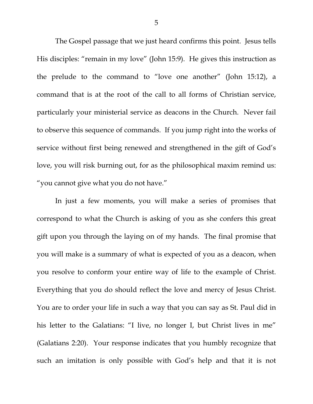The Gospel passage that we just heard confirms this point. Jesus tells His disciples: "remain in my love" (John 15:9). He gives this instruction as the prelude to the command to "love one another" (John 15:12), a command that is at the root of the call to all forms of Christian service, particularly your ministerial service as deacons in the Church. Never fail to observe this sequence of commands. If you jump right into the works of service without first being renewed and strengthened in the gift of God's love, you will risk burning out, for as the philosophical maxim remind us: "you cannot give what you do not have."

 In just a few moments, you will make a series of promises that correspond to what the Church is asking of you as she confers this great gift upon you through the laying on of my hands. The final promise that you will make is a summary of what is expected of you as a deacon, when you resolve to conform your entire way of life to the example of Christ. Everything that you do should reflect the love and mercy of Jesus Christ. You are to order your life in such a way that you can say as St. Paul did in his letter to the Galatians: "I live, no longer I, but Christ lives in me" (Galatians 2:20). Your response indicates that you humbly recognize that such an imitation is only possible with God's help and that it is not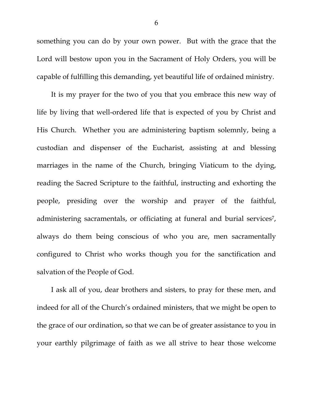something you can do by your own power. But with the grace that the Lord will bestow upon you in the Sacrament of Holy Orders, you will be capable of fulfilling this demanding, yet beautiful life of ordained ministry.

It is my prayer for the two of you that you embrace this new way of life by living that well-ordered life that is expected of you by Christ and His Church. Whether you are administering baptism solemnly, being a custodian and dispenser of the Eucharist, assisting at and blessing marriages in the name of the Church, bringing Viaticum to the dying, reading the Sacred Scripture to the faithful, instructing and exhorting the people, presiding over the worship and prayer of the faithful, administering sacramentals, or officiating at funeral and burial services<sup>7</sup>, always do them being conscious of who you are, men sacramentally configured to Christ who works though you for the sanctification and salvation of the People of God.

I ask all of you, dear brothers and sisters, to pray for these men, and indeed for all of the Church's ordained ministers, that we might be open to the grace of our ordination, so that we can be of greater assistance to you in your earthly pilgrimage of faith as we all strive to hear those welcome